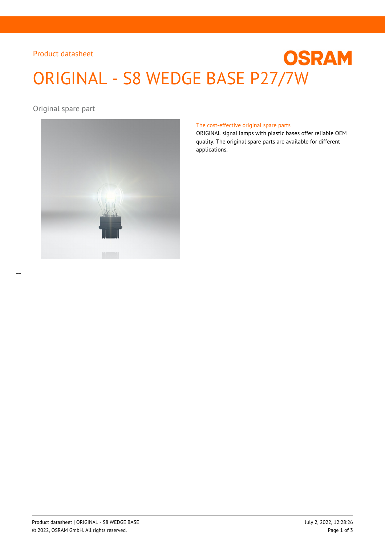# Product datasheet

# **OSRAM** ORIGINAL - S8 WEDGE BASE P27/7W

Original spare part



#### The cost-effective original spare parts

ORIGINAL signal lamps with plastic bases offer reliable OEM quality. The original spare parts are available for different applications.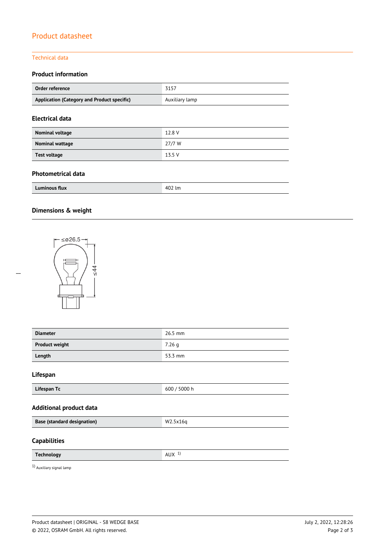# Product datasheet

## Technical data

## **Product information**

| Order reference                             | 3157           |
|---------------------------------------------|----------------|
| Application (Category and Product specific) | Auxiliary lamp |
|                                             |                |

## **Electrical data**

| Nominal voltage | 12.8 V |
|-----------------|--------|
| Nominal wattage | 27/7 W |
| Test voltage    | 13.5V  |

## **Photometrical data**

| .<br>Luminous flux<br>FOZ IM |
|------------------------------|
|------------------------------|

# **Dimensions & weight**

 $\overline{a}$ 



| <b>Diameter</b>                    | 26.5 mm      |  |  |
|------------------------------------|--------------|--|--|
| <b>Product weight</b>              | 7.26 g       |  |  |
| Length                             | 53.3 mm      |  |  |
| Lifespan                           |              |  |  |
| Lifespan Tc                        | 600 / 5000 h |  |  |
| <b>Additional product data</b>     |              |  |  |
| <b>Base (standard designation)</b> | W2.5x16q     |  |  |
| <b>Capabilities</b>                |              |  |  |
| <b>Technology</b>                  | AUX $1$      |  |  |
| $1)$ Auxiliary signal lamp         |              |  |  |